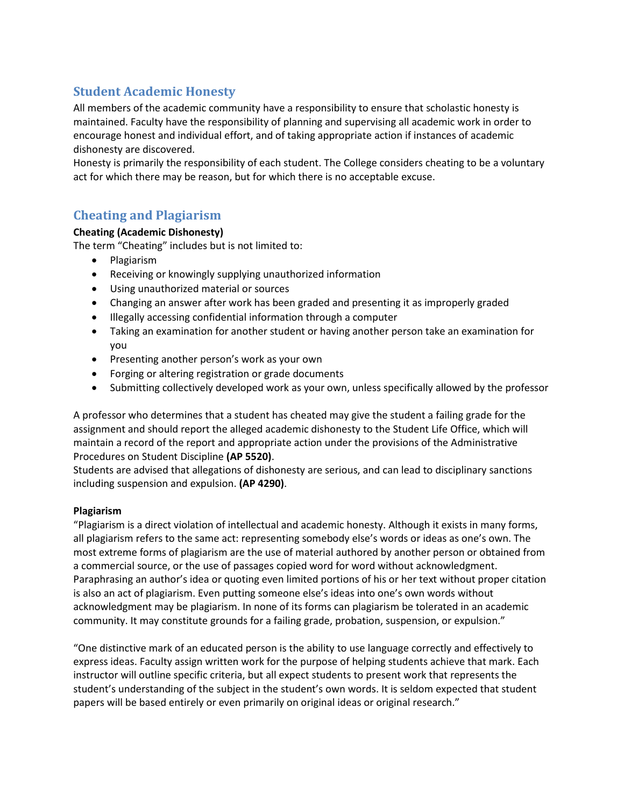## **Student Academic Honesty**

All members of the academic community have a responsibility to ensure that scholastic honesty is maintained. Faculty have the responsibility of planning and supervising all academic work in order to encourage honest and individual effort, and of taking appropriate action if instances of academic dishonesty are discovered.

Honesty is primarily the responsibility of each student. The College considers cheating to be a voluntary act for which there may be reason, but for which there is no acceptable excuse.

## **Cheating and Plagiarism**

## **Cheating (Academic Dishonesty)**

The term "Cheating" includes but is not limited to:

- Plagiarism
- Receiving or knowingly supplying unauthorized information
- Using unauthorized material or sources
- Changing an answer after work has been graded and presenting it as improperly graded
- Illegally accessing confidential information through a computer
- Taking an examination for another student or having another person take an examination for you
- Presenting another person's work as your own
- Forging or altering registration or grade documents
- Submitting collectively developed work as your own, unless specifically allowed by the professor

A professor who determines that a student has cheated may give the student a failing grade for the assignment and should report the alleged academic dishonesty to the Student Life Office, which will maintain a record of the report and appropriate action under the provisions of the Administrative Procedures on Student Discipline **(AP 5520)**.

Students are advised that allegations of dishonesty are serious, and can lead to disciplinary sanctions including suspension and expulsion. **(AP 4290)**.

## **Plagiarism**

"Plagiarism is a direct violation of intellectual and academic honesty. Although it exists in many forms, all plagiarism refers to the same act: representing somebody else's words or ideas as one's own. The most extreme forms of plagiarism are the use of material authored by another person or obtained from a commercial source, or the use of passages copied word for word without acknowledgment. Paraphrasing an author's idea or quoting even limited portions of his or her text without proper citation is also an act of plagiarism. Even putting someone else's ideas into one's own words without acknowledgment may be plagiarism. In none of its forms can plagiarism be tolerated in an academic community. It may constitute grounds for a failing grade, probation, suspension, or expulsion."

"One distinctive mark of an educated person is the ability to use language correctly and effectively to express ideas. Faculty assign written work for the purpose of helping students achieve that mark. Each instructor will outline specific criteria, but all expect students to present work that represents the student's understanding of the subject in the student's own words. It is seldom expected that student papers will be based entirely or even primarily on original ideas or original research."